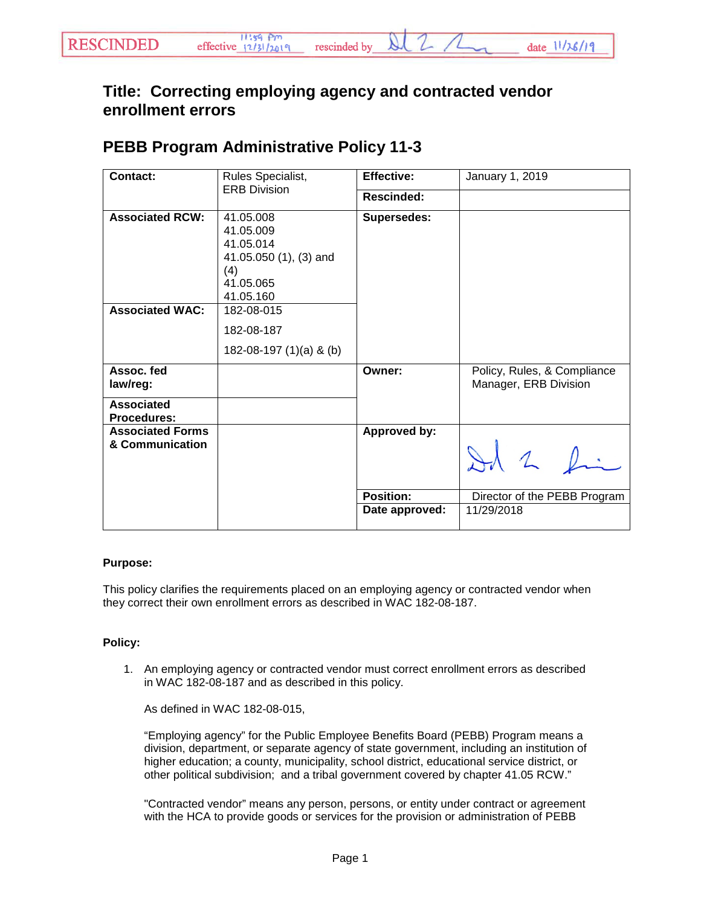## **Title: Correcting employing agency and contracted vendor enrollment errors**

## **PEBB Program Administrative Policy 11-3**

| <b>Contact:</b>                                  | Rules Specialist,<br><b>ERB Division</b>                                                       | <b>Effective:</b>  | January 1, 2019                                      |
|--------------------------------------------------|------------------------------------------------------------------------------------------------|--------------------|------------------------------------------------------|
|                                                  |                                                                                                | Rescinded:         |                                                      |
| <b>Associated RCW:</b><br><b>Associated WAC:</b> | 41.05.008<br>41.05.009<br>41.05.014<br>41.05.050 (1), (3) and<br>(4)<br>41.05.065<br>41.05.160 | <b>Supersedes:</b> |                                                      |
|                                                  | 182-08-015<br>182-08-187<br>182-08-197 $(1)(a)$ & $(b)$                                        |                    |                                                      |
| Assoc. fed<br>law/reg:                           |                                                                                                | Owner:             | Policy, Rules, & Compliance<br>Manager, ERB Division |
| <b>Associated</b><br><b>Procedures:</b>          |                                                                                                |                    |                                                      |
| <b>Associated Forms</b><br>& Communication       |                                                                                                | Approved by:       | 12                                                   |
|                                                  |                                                                                                | <b>Position:</b>   | Director of the PEBB Program                         |
|                                                  |                                                                                                | Date approved:     | 11/29/2018                                           |

## **Purpose:**

This policy clarifies the requirements placed on an employing agency or contracted vendor when they correct their own enrollment errors as described in WAC 182-08-187.

## **Policy:**

1. An employing agency or contracted vendor must correct enrollment errors as described in WAC 182-08-187 and as described in this policy.

As defined in WAC 182-08-015,

"Employing agency" for the Public Employee Benefits Board (PEBB) Program means a division, department, or separate agency of state government, including an institution of higher education; a county, municipality, school district, educational service district, or other political subdivision; and a tribal government covered by chapter 41.05 RCW."

"Contracted vendor" means any person, persons, or entity under contract or agreement with the HCA to provide goods or services for the provision or administration of PEBB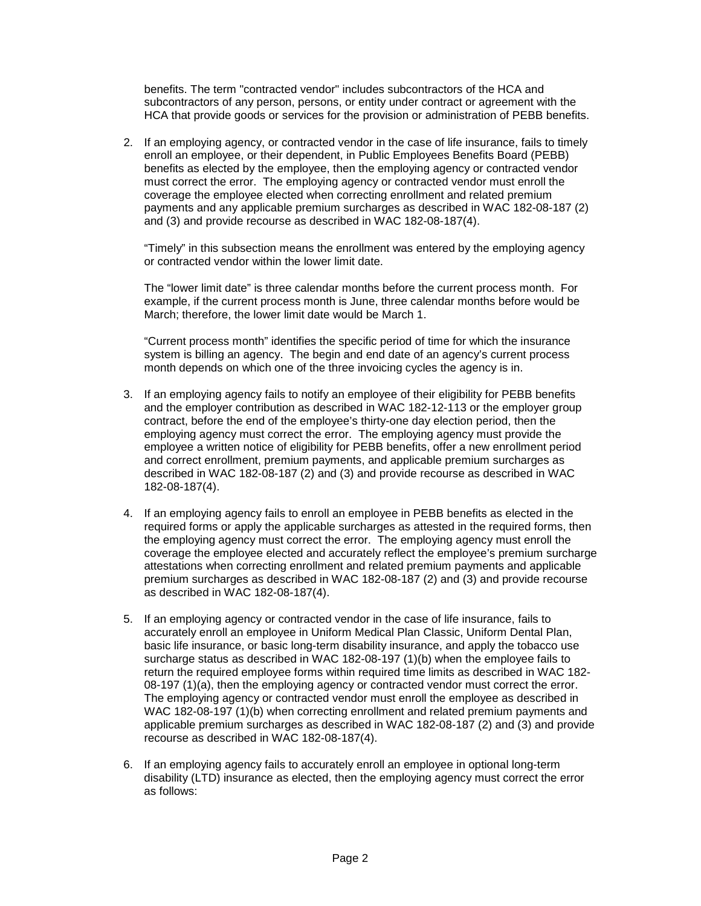benefits. The term "contracted vendor" includes subcontractors of the HCA and subcontractors of any person, persons, or entity under contract or agreement with the HCA that provide goods or services for the provision or administration of PEBB benefits.

2. If an employing agency, or contracted vendor in the case of life insurance, fails to timely enroll an employee, or their dependent, in Public Employees Benefits Board (PEBB) benefits as elected by the employee, then the employing agency or contracted vendor must correct the error. The employing agency or contracted vendor must enroll the coverage the employee elected when correcting enrollment and related premium payments and any applicable premium surcharges as described in WAC 182-08-187 (2) and (3) and provide recourse as described in WAC 182-08-187(4).

"Timely" in this subsection means the enrollment was entered by the employing agency or contracted vendor within the lower limit date.

The "lower limit date" is three calendar months before the current process month. For example, if the current process month is June, three calendar months before would be March; therefore, the lower limit date would be March 1.

"Current process month" identifies the specific period of time for which the insurance system is billing an agency. The begin and end date of an agency's current process month depends on which one of the three invoicing cycles the agency is in.

- 3. If an employing agency fails to notify an employee of their eligibility for PEBB benefits and the employer contribution as described in WAC 182-12-113 or the employer group contract, before the end of the employee's thirty-one day election period, then the employing agency must correct the error. The employing agency must provide the employee a written notice of eligibility for PEBB benefits, offer a new enrollment period and correct enrollment, premium payments, and applicable premium surcharges as described in WAC 182-08-187 (2) and (3) and provide recourse as described in WAC 182-08-187(4).
- 4. If an employing agency fails to enroll an employee in PEBB benefits as elected in the required forms or apply the applicable surcharges as attested in the required forms, then the employing agency must correct the error. The employing agency must enroll the coverage the employee elected and accurately reflect the employee's premium surcharge attestations when correcting enrollment and related premium payments and applicable premium surcharges as described in WAC 182-08-187 (2) and (3) and provide recourse as described in WAC 182-08-187(4).
- 5. If an employing agency or contracted vendor in the case of life insurance, fails to accurately enroll an employee in Uniform Medical Plan Classic, Uniform Dental Plan, basic life insurance, or basic long-term disability insurance, and apply the tobacco use surcharge status as described in WAC 182-08-197 (1)(b) when the employee fails to return the required employee forms within required time limits as described in WAC 182- 08-197 (1)(a), then the employing agency or contracted vendor must correct the error. The employing agency or contracted vendor must enroll the employee as described in WAC 182-08-197 (1)(b) when correcting enrollment and related premium payments and applicable premium surcharges as described in WAC 182-08-187 (2) and (3) and provide recourse as described in WAC 182-08-187(4).
- 6. If an employing agency fails to accurately enroll an employee in optional long-term disability (LTD) insurance as elected, then the employing agency must correct the error as follows: